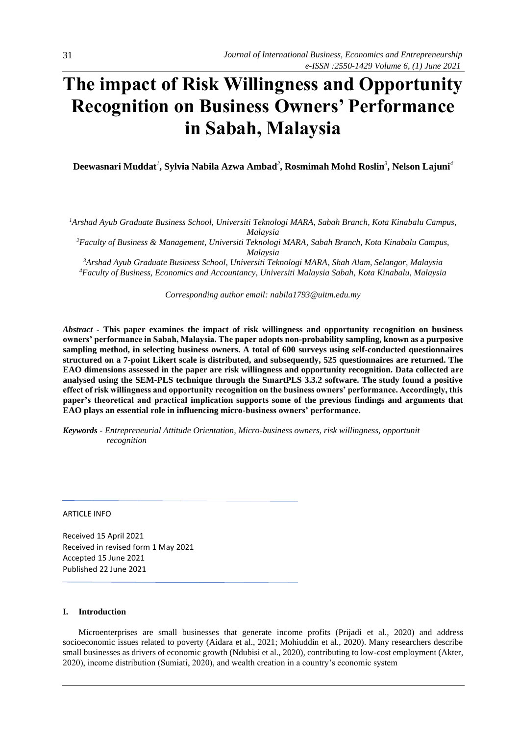# **The impact of Risk Willingness and Opportunity Recognition on Business Owners' Performance in Sabah, Malaysia**

**Deewasnari Muddat***<sup>1</sup>* **, Sylvia Nabila Azwa Ambad***<sup>2</sup>* **, Rosmimah Mohd Roslin***<sup>3</sup>* **, Nelson Lajuni***<sup>4</sup>*

*<sup>1</sup>Arshad Ayub Graduate Business School, Universiti Teknologi MARA, Sabah Branch, Kota Kinabalu Campus, Malaysia* 

*<sup>2</sup>Faculty of Business & Management, Universiti Teknologi MARA, Sabah Branch, Kota Kinabalu Campus, Malaysia* 

*<sup>3</sup>Arshad Ayub Graduate Business School, Universiti Teknologi MARA, Shah Alam, Selangor, Malaysia <sup>4</sup>Faculty of Business, Economics and Accountancy, Universiti Malaysia Sabah, Kota Kinabalu, Malaysia*

*Corresponding author email: nabila1793@uitm.edu.my*

*Abstract -* **This paper examines the impact of risk willingness and opportunity recognition on business owners' performance in Sabah, Malaysia. The paper adopts non-probability sampling, known as a purposive sampling method, in selecting business owners. A total of 600 surveys using self-conducted questionnaires structured on a 7-point Likert scale is distributed, and subsequently, 525 questionnaires are returned. The EAO dimensions assessed in the paper are risk willingness and opportunity recognition. Data collected are analysed using the SEM-PLS technique through the SmartPLS 3.3.2 software. The study found a positive effect of risk willingness and opportunity recognition on the business owners' performance. Accordingly, this paper's theoretical and practical implication supports some of the previous findings and arguments that EAO plays an essential role in influencing micro-business owners' performance.**

*Keywords - Entrepreneurial Attitude Orientation, Micro-business owners, risk willingness, opportunit recognition*

## ARTICLE INFO

Received 15 April 2021 Received in revised form 1 May 2021 Accepted 15 June 2021 Published 22 June 2021

## **I. Introduction**

Microenterprises are small businesses that generate income profits (Prijadi et al., 2020) and address socioeconomic issues related to poverty (Aidara et al., 2021; Mohiuddin et al., 2020). Many researchers describe small businesses as drivers of economic growth (Ndubisi et al., 2020), contributing to low-cost employment (Akter, 2020), income distribution (Sumiati, 2020), and wealth creation in a country's economic system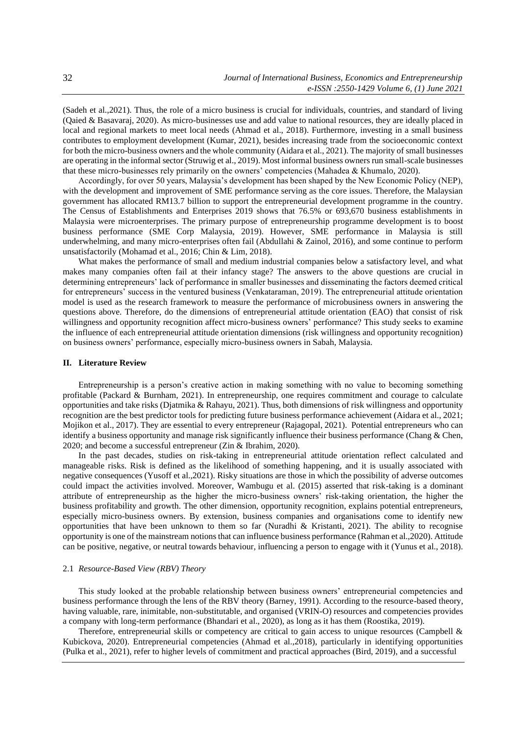(Sadeh et al.,2021). Thus, the role of a micro business is crucial for individuals, countries, and standard of living (Qaied & Basavaraj, 2020). As micro-businesses use and add value to national resources, they are ideally placed in local and regional markets to meet local needs (Ahmad et al., 2018). Furthermore, investing in a small business contributes to employment development (Kumar, 2021), besides increasing trade from the socioeconomic context for both the micro-business owners and the whole community (Aidara et al., 2021). The majority of small businesses are operating in the informal sector (Struwig et al., 2019). Most informal business owners run small-scale businesses that these micro-businesses rely primarily on the owners' competencies (Mahadea & Khumalo, 2020).

Accordingly, for over 50 years, Malaysia's development has been shaped by the New Economic Policy (NEP), with the development and improvement of SME performance serving as the core issues. Therefore, the Malaysian government has allocated RM13.7 billion to support the entrepreneurial development programme in the country. The Census of Establishments and Enterprises 2019 shows that 76.5% or 693,670 business establishments in Malaysia were microenterprises. The primary purpose of entrepreneurship programme development is to boost business performance (SME Corp Malaysia, 2019). However, SME performance in Malaysia is still underwhelming, and many micro-enterprises often fail (Abdullahi & Zainol, 2016), and some continue to perform unsatisfactorily (Mohamad et al., 2016; Chin & Lim, 2018).

What makes the performance of small and medium industrial companies below a satisfactory level, and what makes many companies often fail at their infancy stage? The answers to the above questions are crucial in determining entrepreneurs' lack of performance in smaller businesses and disseminating the factors deemed critical for entrepreneurs' success in the ventured business (Venkataraman, 2019). The entrepreneurial attitude orientation model is used as the research framework to measure the performance of microbusiness owners in answering the questions above. Therefore, do the dimensions of entrepreneurial attitude orientation (EAO) that consist of risk willingness and opportunity recognition affect micro-business owners' performance? This study seeks to examine the influence of each entrepreneurial attitude orientation dimensions (risk willingness and opportunity recognition) on business owners' performance, especially micro-business owners in Sabah, Malaysia.

#### **II. Literature Review**

Entrepreneurship is a person's creative action in making something with no value to becoming something profitable (Packard & Burnham, 2021). In entrepreneurship, one requires commitment and courage to calculate opportunities and take risks (Djatmika & Rahayu, 2021). Thus, both dimensions of risk willingness and opportunity recognition are the best predictor tools for predicting future business performance achievement (Aidara et al., 2021; Mojikon et al., 2017). They are essential to every entrepreneur (Rajagopal, 2021). Potential entrepreneurs who can identify a business opportunity and manage risk significantly influence their business performance (Chang & Chen, 2020; and become a successful entrepreneur (Zin & Ibrahim, 2020).

In the past decades, studies on risk-taking in entrepreneurial attitude orientation reflect calculated and manageable risks. Risk is defined as the likelihood of something happening, and it is usually associated with negative consequences (Yusoff et al.,2021). Risky situations are those in which the possibility of adverse outcomes could impact the activities involved. Moreover, Wambugu et al. (2015) asserted that risk-taking is a dominant attribute of entrepreneurship as the higher the micro-business owners' risk-taking orientation, the higher the business profitability and growth. The other dimension, opportunity recognition, explains potential entrepreneurs, especially micro-business owners. By extension, business companies and organisations come to identify new opportunities that have been unknown to them so far (Nuradhi & Kristanti, 2021). The ability to recognise opportunity is one of the mainstream notions that can influence business performance (Rahman et al.,2020). Attitude can be positive, negative, or neutral towards behaviour, influencing a person to engage with it (Yunus et al., 2018).

# 2.1 *Resource-Based View (RBV) Theory*

This study looked at the probable relationship between business owners' entrepreneurial competencies and business performance through the lens of the RBV theory (Barney, 1991). According to the resource-based theory, having valuable, rare, inimitable, non-substitutable, and organised (VRIN-O) resources and competencies provides a company with long-term performance (Bhandari et al., 2020), as long as it has them (Roostika, 2019).

Therefore, entrepreneurial skills or competency are critical to gain access to unique resources (Campbell & Kubickova, 2020). Entrepreneurial competencies (Ahmad et al.,2018), particularly in identifying opportunities (Pulka et al., 2021), refer to higher levels of commitment and practical approaches (Bird, 2019), and a successful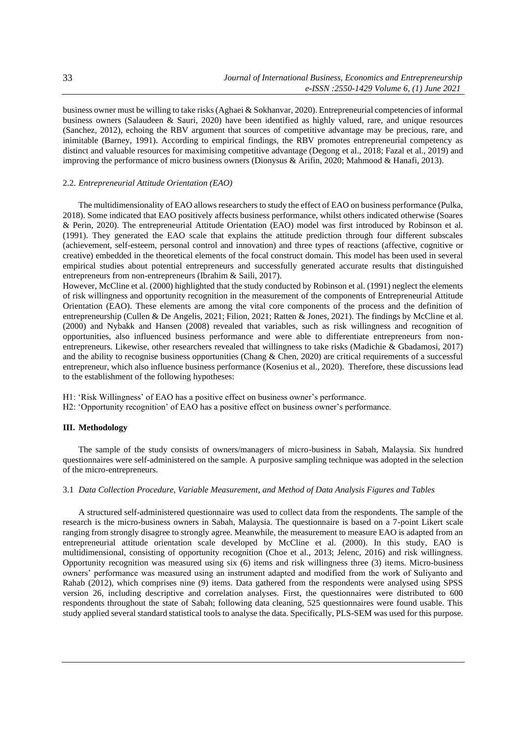business owner must be willing to take risks (Aghaei & Sokhanvar, 2020). Entrepreneurial competencies of informal business owners (Salaudeen & Sauri, 2020) have been identified as highly valued, rare, and unique resources (Sanchez, 2012), echoing the RBV argument that sources of competitive advantage may be precious, rare, and inimitable (Barney, 1991). According to empirical findings, the RBV promotes entrepreneurial competency as distinct and valuable resources for maximising competitive advantage (Degong et al., 2018; Fazal et al., 2019) and improving the performance of micro business owners (Dionysus & Arifin, 2020; Mahmood & Hanafi, 2013).

## 2.2. *Entrepreneurial Attitude Orientation (EAO)*

The multidimensionality of EAO allows researchers to study the effect of EAO on business performance (Pulka, 2018). Some indicated that EAO positively affects business performance, whilst others indicated otherwise (Soares & Perin, 2020). The entrepreneurial Attitude Orientation (EAO) model was first introduced by Robinson et al. (1991). They generated the EAO scale that explains the attitude prediction through four different subscales (achievement, self-esteem, personal control and innovation) and three types of reactions (affective, cognitive or creative) embedded in the theoretical elements of the focal construct domain. This model has been used in several empirical studies about potential entrepreneurs and successfully generated accurate results that distinguished entrepreneurs from non-entrepreneurs (Ibrahim & Saili, 2017).

However, McCline et al. (2000) highlighted that the study conducted by Robinson et al. (1991) neglect the elements of risk willingness and opportunity recognition in the measurement of the components of Entrepreneurial Attitude Orientation (EAO). These elements are among the vital core components of the process and the definition of entrepreneurship (Cullen & De Angelis, 2021; Filion, 2021; Ratten & Jones, 2021). The findings by McCline et al. (2000) and Nybakk and Hansen (2008) revealed that variables, such as risk willingness and recognition of opportunities, also influenced business performance and were able to differentiate entrepreneurs from nonentrepreneurs. Likewise, other researchers revealed that willingness to take risks (Madichie & Gbadamosi, 2017) and the ability to recognise business opportunities (Chang & Chen, 2020) are critical requirements of a successful entrepreneur, which also influence business performance (Kosenius et al., 2020). Therefore, these discussions lead to the establishment of the following hypotheses:

H1: 'Risk Willingness' of EAO has a positive effect on business owner's performance.

H2: 'Opportunity recognition' of EAO has a positive effect on business owner's performance.

## **III. Methodology**

The sample of the study consists of owners/managers of micro-business in Sabah, Malaysia. Six hundred questionnaires were self-administered on the sample. A purposive sampling technique was adopted in the selection of the micro-entrepreneurs.

## 3.1 *Data Collection Procedure, Variable Measurement, and Method of Data Analysis Figures and Tables*

A structured self-administered questionnaire was used to collect data from the respondents. The sample of the research is the micro-business owners in Sabah, Malaysia. The questionnaire is based on a 7-point Likert scale ranging from strongly disagree to strongly agree. Meanwhile, the measurement to measure EAO is adapted from an entrepreneurial attitude orientation scale developed by McCline et al. (2000). In this study, EAO is multidimensional, consisting of opportunity recognition (Choe et al., 2013; Jelenc, 2016) and risk willingness. Opportunity recognition was measured using six (6) items and risk willingness three (3) items. Micro-business owners' performance was measured using an instrument adapted and modified from the work of Suliyanto and Rahab (2012), which comprises nine (9) items. Data gathered from the respondents were analysed using SPSS version 26, including descriptive and correlation analyses. First, the questionnaires were distributed to 600 respondents throughout the state of Sabah; following data cleaning, 525 questionnaires were found usable. This study applied several standard statistical tools to analyse the data. Specifically, PLS-SEM was used for this purpose.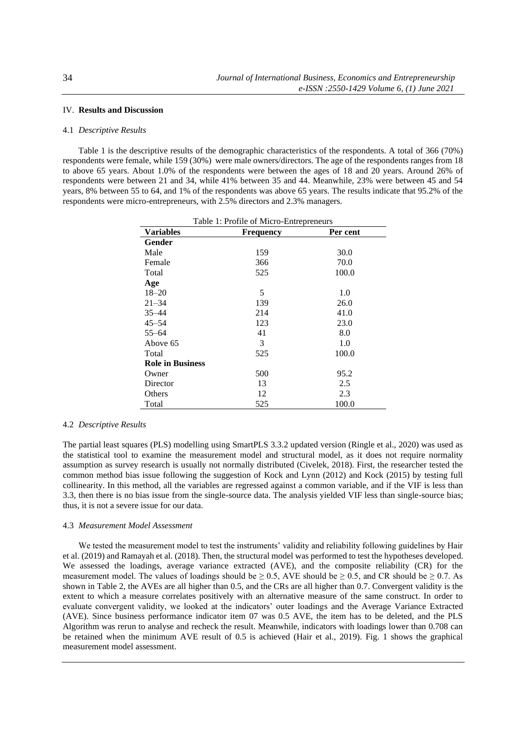# IV. **Results and Discussion**

## 4.1 *Descriptive Results*

Table 1 is the descriptive results of the demographic characteristics of the respondents. A total of 366 (70%) respondents were female, while 159 (30%) were male owners/directors. The age of the respondents ranges from 18 to above 65 years. About 1.0% of the respondents were between the ages of 18 and 20 years. Around 26% of respondents were between 21 and 34, while 41% between 35 and 44. Meanwhile, 23% were between 45 and 54 years, 8% between 55 to 64, and 1% of the respondents was above 65 years. The results indicate that 95.2% of the respondents were micro-entrepreneurs, with 2.5% directors and 2.3% managers.

| Table 1: Profile of Micro-Entrepreneurs |                  |          |  |  |  |
|-----------------------------------------|------------------|----------|--|--|--|
| <b>Variables</b>                        | <b>Frequency</b> | Per cent |  |  |  |
| Gender                                  |                  |          |  |  |  |
| Male                                    | 159              | 30.0     |  |  |  |
| Female                                  | 366              | 70.0     |  |  |  |
| Total                                   | 525              | 100.0    |  |  |  |
| Age                                     |                  |          |  |  |  |
| $18 - 20$                               | 5                | 1.0      |  |  |  |
| $21 - 34$                               | 139              | 26.0     |  |  |  |
| $35 - 44$                               | 214              | 41.0     |  |  |  |
| $45 - 54$                               | 123              | 23.0     |  |  |  |
| $55 - 64$                               | 41               | 8.0      |  |  |  |
| Above 65                                | 3                | 1.0      |  |  |  |
| Total                                   | 525              | 100.0    |  |  |  |
| <b>Role in Business</b>                 |                  |          |  |  |  |
| Owner                                   | 500              | 95.2     |  |  |  |
| Director                                | 13               | 2.5      |  |  |  |
| Others                                  | 12               | 2.3      |  |  |  |
| Total                                   | 525              | 100.0    |  |  |  |

## 4.2 *Descriptive Results*

The partial least squares (PLS) modelling using SmartPLS 3.3.2 updated version (Ringle et al., 2020) was used as the statistical tool to examine the measurement model and structural model, as it does not require normality assumption as survey research is usually not normally distributed (Civelek, 2018). First, the researcher tested the common method bias issue following the suggestion of Kock and Lynn (2012) and Kock (2015) by testing full collinearity. In this method, all the variables are regressed against a common variable, and if the VIF is less than 3.3, then there is no bias issue from the single-source data. The analysis yielded VIF less than single-source bias; thus, it is not a severe issue for our data.

#### 4.3 *Measurement Model Assessment*

We tested the measurement model to test the instruments' validity and reliability following guidelines by Hair et al. (2019) and Ramayah et al. (2018). Then, the structural model was performed to test the hypotheses developed. We assessed the loadings, average variance extracted (AVE), and the composite reliability (CR) for the measurement model. The values of loadings should be  $\geq 0.5$ , AVE should be  $\geq 0.5$ , and CR should be  $\geq 0.7$ . As shown in Table 2, the AVEs are all higher than 0.5, and the CRs are all higher than 0.7. Convergent validity is the extent to which a measure correlates positively with an alternative measure of the same construct. In order to evaluate convergent validity, we looked at the indicators' outer loadings and the Average Variance Extracted (AVE). Since business performance indicator item 07 was 0.5 AVE, the item has to be deleted, and the PLS Algorithm was rerun to analyse and recheck the result. Meanwhile, indicators with loadings lower than 0.708 can be retained when the minimum AVE result of 0.5 is achieved (Hair et al., 2019). Fig. 1 shows the graphical measurement model assessment.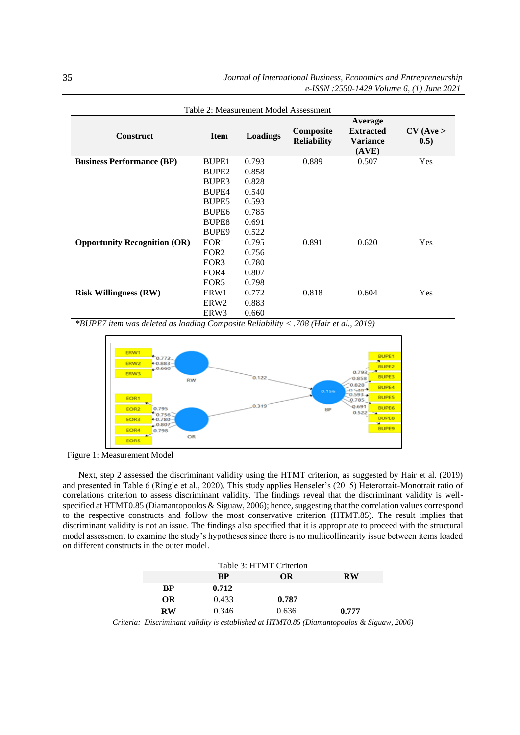| Table 2: Measurement Model Assessment |                   |          |                                 |                                                         |                     |
|---------------------------------------|-------------------|----------|---------------------------------|---------------------------------------------------------|---------------------|
| <b>Construct</b>                      | <b>Item</b>       | Loadings | Composite<br><b>Reliability</b> | Average<br><b>Extracted</b><br><b>Variance</b><br>(AVE) | $CV$ (Ave ><br>0.5) |
| <b>Business Performance (BP)</b>      | BUPE1             | 0.793    | 0.889                           | 0.507                                                   | Yes                 |
|                                       | BUPE <sub>2</sub> | 0.858    |                                 |                                                         |                     |
|                                       | BUPE3             | 0.828    |                                 |                                                         |                     |
|                                       | <b>BUPE4</b>      | 0.540    |                                 |                                                         |                     |
|                                       | BUPE <sub>5</sub> | 0.593    |                                 |                                                         |                     |
|                                       | BUPE <sub>6</sub> | 0.785    |                                 |                                                         |                     |
|                                       | <b>BUPE8</b>      | 0.691    |                                 |                                                         |                     |
|                                       | BUPE <sub>9</sub> | 0.522    |                                 |                                                         |                     |
| <b>Opportunity Recognition (OR)</b>   | EOR <sub>1</sub>  | 0.795    | 0.891                           | 0.620                                                   | Yes                 |
|                                       | EOR <sub>2</sub>  | 0.756    |                                 |                                                         |                     |
|                                       | EOR3              | 0.780    |                                 |                                                         |                     |
|                                       | EOR <sub>4</sub>  | 0.807    |                                 |                                                         |                     |
|                                       | EOR <sub>5</sub>  | 0.798    |                                 |                                                         |                     |
| <b>Risk Willingness (RW)</b>          | ERW1              | 0.772    | 0.818                           | 0.604                                                   | Yes                 |
|                                       | ERW <sub>2</sub>  | 0.883    |                                 |                                                         |                     |
|                                       | ERW3              | 0.660    |                                 |                                                         |                     |

*\*BUPE7 item was deleted as loading Composite Reliability < .708 (Hair et al., 2019)* 



Figure 1: Measurement Model

Next, step 2 assessed the discriminant validity using the HTMT criterion, as suggested by Hair et al. (2019) and presented in Table 6 (Ringle et al., 2020). This study applies Henseler's (2015) Heterotrait-Monotrait ratio of correlations criterion to assess discriminant validity. The findings reveal that the discriminant validity is wellspecified at HTMT0.85 (Diamantopoulos & Siguaw, 2006); hence, suggesting that the correlation values correspond to the respective constructs and follow the most conservative criterion (HTMT.85). The result implies that discriminant validity is not an issue. The findings also specified that it is appropriate to proceed with the structural model assessment to examine the study's hypotheses since there is no multicollinearity issue between items loaded on different constructs in the outer model.

| Table 3: HTMT Criterion |       |           |  |  |  |
|-------------------------|-------|-----------|--|--|--|
| RP                      | OR    | <b>RW</b> |  |  |  |
| 0.712                   |       |           |  |  |  |
| 0.433                   | 0.787 |           |  |  |  |
| 0.346                   | 0.636 | 0.777     |  |  |  |
|                         |       |           |  |  |  |

*Criteria: Discriminant validity is established at HTMT0.85 (Diamantopoulos & Siguaw, 2006)*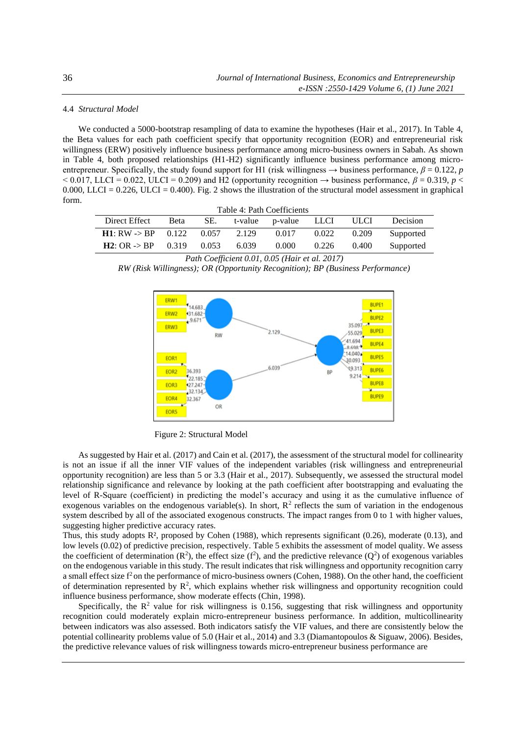## 4.4 *Structural Model*

We conducted a 5000-bootstrap resampling of data to examine the hypotheses (Hair et al., 2017). In Table 4, the Beta values for each path coefficient specify that opportunity recognition (EOR) and entrepreneurial risk willingness (ERW) positively influence business performance among micro-business owners in Sabah. As shown in Table 4, both proposed relationships (H1-H2) significantly influence business performance among microentrepreneur. Specifically, the study found support for H1 (risk willingness  $\rightarrow$  business performance,  $\beta = 0.122$ , *p*  $\leq 0.017$ , LLCI = 0.022, ULCI = 0.209) and H2 (opportunity recognition  $\rightarrow$  business performance,  $\beta$  = 0.319, *p*  $\leq$ 0.000, LLCI = 0.226, ULCI = 0.400). Fig. 2 shows the illustration of the structural model assessment in graphical form.

| Table 4: Path Coefficients |       |       |       |                      |       |             |           |
|----------------------------|-------|-------|-------|----------------------|-------|-------------|-----------|
| Direct Effect              | Beta  | SE.   |       | t-value p-value LLCI |       | <b>ULCI</b> | Decision  |
| $H1: RW > BP \t0.122$      |       | 0.057 | 2.129 | 0.017                | 0.022 | 0.209       | Supported |
| $H2:OR \rightarrow BP$     | 0.319 | 0.053 | 6.039 | 0.000                | 0.226 | 0.400       | Supported |

*Path Coefficient 0.01, 0.05 (Hair et al. 2017)*

*RW (Risk Willingness); OR (Opportunity Recognition); BP (Business Performance)*



Figure 2: Structural Model

As suggested by Hair et al. (2017) and Cain et al. (2017), the assessment of the structural model for collinearity is not an issue if all the inner VIF values of the independent variables (risk willingness and entrepreneurial opportunity recognition) are less than 5 or 3.3 (Hair et al., 2017). Subsequently, we assessed the structural model relationship significance and relevance by looking at the path coefficient after bootstrapping and evaluating the level of R-Square (coefficient) in predicting the model's accuracy and using it as the cumulative influence of exogenous variables on the endogenous variable(s). In short,  $R^2$  reflects the sum of variation in the endogenous system described by all of the associated exogenous constructs. The impact ranges from 0 to 1 with higher values, suggesting higher predictive accuracy rates.

Thus, this study adopts R², proposed by Cohen (1988), which represents significant (0.26), moderate (0.13), and low levels (0.02) of predictive precision, respectively. Table 5 exhibits the assessment of model quality. We assess the coefficient of determination  $(R^2)$ , the effect size  $(f^2)$ , and the predictive relevance  $(Q^2)$  of exogenous variables on the endogenous variable in this study. The result indicates that risk willingness and opportunity recognition carry a small effect size  $f^2$  on the performance of micro-business owners (Cohen, 1988). On the other hand, the coefficient of determination represented by  $\mathbb{R}^2$ , which explains whether risk willingness and opportunity recognition could influence business performance, show moderate effects (Chin, 1998).

Specifically, the  $R^2$  value for risk willingness is 0.156, suggesting that risk willingness and opportunity recognition could moderately explain micro-entrepreneur business performance. In addition, multicollinearity between indicators was also assessed. Both indicators satisfy the VIF values, and there are consistently below the potential collinearity problems value of 5.0 (Hair et al., 2014) and 3.3 (Diamantopoulos & Siguaw, 2006). Besides, the predictive relevance values of risk willingness towards micro-entrepreneur business performance are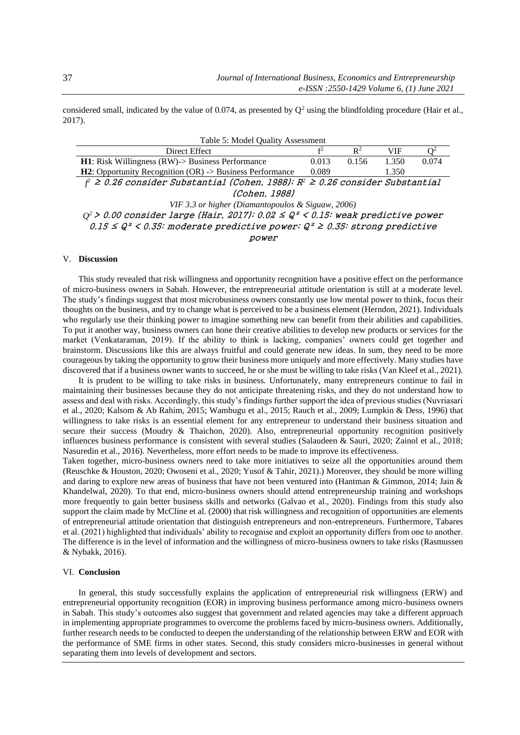considered small, indicated by the value of 0.074, as presented by  $Q^2$  using the blindfolding procedure (Hair et al., 2017).

| Table 5: Model Quality Assessment                                                          |                |                |            |       |  |  |  |
|--------------------------------------------------------------------------------------------|----------------|----------------|------------|-------|--|--|--|
| Direct Effect                                                                              | f <sup>2</sup> | $\mathbb{R}^2$ | <b>VIF</b> |       |  |  |  |
| $H1$ : Risk Willingness (RW)-> Business Performance                                        | 0.013          | 0.156          | 1.350      | 0.074 |  |  |  |
| H2: Opportunity Recognition (OR) -> Business Performance                                   | 0.089          |                | 1.350      |       |  |  |  |
| $f^2 \ge 0.26$ consider Substantial (Cohen, 1988); $R^2 \ge 0.26$ consider Substantial     |                |                |            |       |  |  |  |
| (Cohen, 1988)                                                                              |                |                |            |       |  |  |  |
| VIF 3.3 or higher (Diamantopoulos & Siguaw, 2006)                                          |                |                |            |       |  |  |  |
| $Q^2$ > 0.00 consider large (Hair, 2017); 0.02 $\leq Q^2 < 0.15$ : weak predictive power   |                |                |            |       |  |  |  |
| $0.15 \leq Q^2 \leq 0.35$ : moderate predictive power; $Q^2 \geq 0.35$ : strong predictive |                |                |            |       |  |  |  |
| <i>power</i>                                                                               |                |                |            |       |  |  |  |

#### V. **Discussion**

This study revealed that risk willingness and opportunity recognition have a positive effect on the performance of micro-business owners in Sabah. However, the entrepreneurial attitude orientation is still at a moderate level. The study's findings suggest that most microbusiness owners constantly use low mental power to think, focus their thoughts on the business, and try to change what is perceived to be a business element (Herndon, 2021). Individuals who regularly use their thinking power to imagine something new can benefit from their abilities and capabilities. To put it another way, business owners can hone their creative abilities to develop new products or services for the market (Venkataraman, 2019). If the ability to think is lacking, companies' owners could get together and brainstorm. Discussions like this are always fruitful and could generate new ideas. In sum, they need to be more courageous by taking the opportunity to grow their business more uniquely and more effectively. Many studies have discovered that if a business owner wants to succeed, he or she must be willing to take risks (Van Kleef et al., 2021).

It is prudent to be willing to take risks in business. Unfortunately, many entrepreneurs continue to fail in maintaining their businesses because they do not anticipate threatening risks, and they do not understand how to assess and deal with risks. Accordingly, this study's findings further support the idea of previous studies (Nuvriasari et al., 2020; Kalsom & Ab Rahim, 2015; Wambugu et al., 2015; Rauch et al., 2009; Lumpkin & Dess, 1996) that willingness to take risks is an essential element for any entrepreneur to understand their business situation and secure their success (Moudry & Thaichon, 2020). Also, entrepreneurial opportunity recognition positively influences business performance is consistent with several studies (Salaudeen & Sauri, 2020; Zainol et al., 2018; Nasuredin et al., 2016). Nevertheless, more effort needs to be made to improve its effectiveness.

Taken together, micro-business owners need to take more initiatives to seize all the opportunities around them (Reuschke & Houston, 2020; Owoseni et al., 2020; Yusof & Tahir, 2021).) Moreover, they should be more willing and daring to explore new areas of business that have not been ventured into (Hantman & Gimmon, 2014; Jain & Khandelwal, 2020). To that end, micro-business owners should attend entrepreneurship training and workshops more frequently to gain better business skills and networks (Galvao et al., 2020). Findings from this study also support the claim made by McCline et al. (2000) that risk willingness and recognition of opportunities are elements of entrepreneurial attitude orientation that distinguish entrepreneurs and non-entrepreneurs. Furthermore, Tabares et al. (2021) highlighted that individuals' ability to recognise and exploit an opportunity differs from one to another. The difference is in the level of information and the willingness of micro-business owners to take risks (Rasmussen & Nybakk, 2016).

#### VI. **Conclusion**

In general, this study successfully explains the application of entrepreneurial risk willingness (ERW) and entrepreneurial opportunity recognition (EOR) in improving business performance among micro-business owners in Sabah. This study's outcomes also suggest that government and related agencies may take a different approach in implementing appropriate programmes to overcome the problems faced by micro-business owners. Additionally, further research needs to be conducted to deepen the understanding of the relationship between ERW and EOR with the performance of SME firms in other states. Second, this study considers micro-businesses in general without separating them into levels of development and sectors.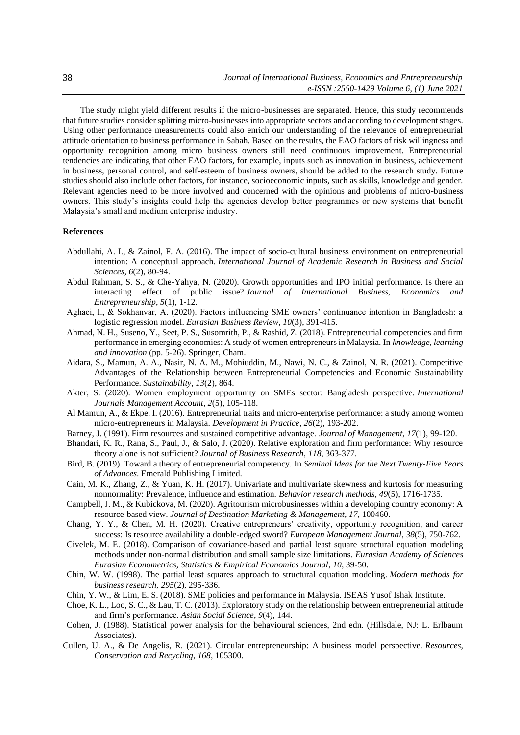The study might yield different results if the micro-businesses are separated. Hence, this study recommends that future studies consider splitting micro-businesses into appropriate sectors and according to development stages. Using other performance measurements could also enrich our understanding of the relevance of entrepreneurial attitude orientation to business performance in Sabah. Based on the results, the EAO factors of risk willingness and opportunity recognition among micro business owners still need continuous improvement. Entrepreneurial tendencies are indicating that other EAO factors, for example, inputs such as innovation in business, achievement in business, personal control, and self-esteem of business owners, should be added to the research study. Future studies should also include other factors, for instance, socioeconomic inputs, such as skills, knowledge and gender. Relevant agencies need to be more involved and concerned with the opinions and problems of micro-business owners. This study's insights could help the agencies develop better programmes or new systems that benefit Malaysia's small and medium enterprise industry.

#### **References**

- Abdullahi, A. I., & Zainol, F. A. (2016). The impact of socio-cultural business environment on entrepreneurial intention: A conceptual approach. *International Journal of Academic Research in Business and Social Sciences*, *6*(2), 80-94.
- Abdul Rahman, S. S., & Che-Yahya, N. (2020). Growth opportunities and IPO initial performance. Is there an interacting effect of public issue? *Journal of International Business, Economics and Entrepreneurship*, *5*(1), 1-12.
- Aghaei, I., & Sokhanvar, A. (2020). Factors influencing SME owners' continuance intention in Bangladesh: a logistic regression model. *Eurasian Business Review*, *10*(3), 391-415.
- Ahmad, N. H., Suseno, Y., Seet, P. S., Susomrith, P., & Rashid, Z. (2018). Entrepreneurial competencies and firm performance in emerging economies: A study of women entrepreneurs in Malaysia. In *knowledge, learning and innovation* (pp. 5-26). Springer, Cham.
- Aidara, S., Mamun, A. A., Nasir, N. A. M., Mohiuddin, M., Nawi, N. C., & Zainol, N. R. (2021). Competitive Advantages of the Relationship between Entrepreneurial Competencies and Economic Sustainability Performance. *Sustainability*, *13*(2), 864.
- Akter, S. (2020). Women employment opportunity on SMEs sector: Bangladesh perspective. *International Journals Management Account*, *2*(5), 105-118.
- Al Mamun, A., & Ekpe, I. (2016). Entrepreneurial traits and micro-enterprise performance: a study among women micro-entrepreneurs in Malaysia. *Development in Practice*, *26*(2), 193-202.
- Barney, J. (1991). Firm resources and sustained competitive advantage. *Journal of Management*, *17*(1), 99-120.
- Bhandari, K. R., Rana, S., Paul, J., & Salo, J. (2020). Relative exploration and firm performance: Why resource theory alone is not sufficient? *Journal of Business Research*, *118*, 363-377.
- Bird, B. (2019). Toward a theory of entrepreneurial competency. In *Seminal Ideas for the Next Twenty-Five Years of Advances*. Emerald Publishing Limited.
- Cain, M. K., Zhang, Z., & Yuan, K. H. (2017). Univariate and multivariate skewness and kurtosis for measuring nonnormality: Prevalence, influence and estimation. *Behavior research methods*, *49*(5), 1716-1735.
- Campbell, J. M., & Kubickova, M. (2020). Agritourism microbusinesses within a developing country economy: A resource-based view. *Journal of Destination Marketing & Management*, *17*, 100460.
- Chang, Y. Y., & Chen, M. H. (2020). Creative entrepreneurs' creativity, opportunity recognition, and career success: Is resource availability a double-edged sword? *European Management Journal*, *38*(5), 750-762.
- Civelek, M. E. (2018). Comparison of covariance-based and partial least square structural equation modeling methods under non-normal distribution and small sample size limitations. *Eurasian Academy of Sciences Eurasian Econometrics, Statistics & Empirical Economics Journal*, *10*, 39-50.
- Chin, W. W. (1998). The partial least squares approach to structural equation modeling. *Modern methods for business research*, *295*(2), 295-336.
- Chin, Y. W., & Lim, E. S. (2018). SME policies and performance in Malaysia. ISEAS Yusof Ishak Institute.
- Choe, K. L., Loo, S. C., & Lau, T. C. (2013). Exploratory study on the relationship between entrepreneurial attitude and firm's performance. *Asian Social Science*, *9*(4), 144.
- Cohen, J. (1988). Statistical power analysis for the behavioural sciences, 2nd edn. (Hillsdale, NJ: L. Erlbaum Associates).
- Cullen, U. A., & De Angelis, R. (2021). Circular entrepreneurship: A business model perspective. *Resources, Conservation and Recycling*, *168*, 105300.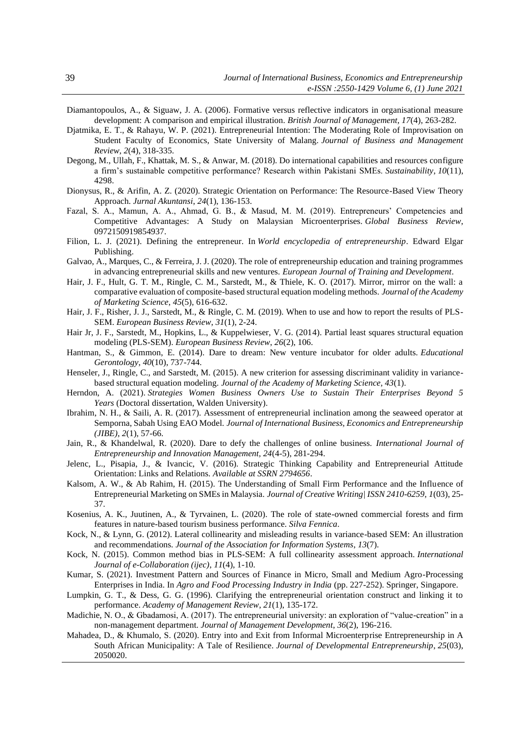- Diamantopoulos, A., & Siguaw, J. A. (2006). Formative versus reflective indicators in organisational measure development: A comparison and empirical illustration. *British Journal of Management, 17*(4), 263-282.
- Djatmika, E. T., & Rahayu, W. P. (2021). Entrepreneurial Intention: The Moderating Role of Improvisation on Student Faculty of Economics, State University of Malang. *Journal of Business and Management Review*, *2*(4), 318-335.
- Degong, M., Ullah, F., Khattak, M. S., & Anwar, M. (2018). Do international capabilities and resources configure a firm's sustainable competitive performance? Research within Pakistani SMEs. *Sustainability*, *10*(11), 4298.
- Dionysus, R., & Arifin, A. Z. (2020). Strategic Orientation on Performance: The Resource-Based View Theory Approach. *Jurnal Akuntansi*, *24*(1), 136-153.
- Fazal, S. A., Mamun, A. A., Ahmad, G. B., & Masud, M. M. (2019). Entrepreneurs' Competencies and Competitive Advantages: A Study on Malaysian Microenterprises. *Global Business Review*, 0972150919854937.
- Filion, L. J. (2021). Defining the entrepreneur. In *World encyclopedia of entrepreneurship*. Edward Elgar Publishing.
- Galvao, A., Marques, C., & Ferreira, J. J. (2020). The role of entrepreneurship education and training programmes in advancing entrepreneurial skills and new ventures. *European Journal of Training and Development*.
- Hair, J. F., Hult, G. T. M., Ringle, C. M., Sarstedt, M., & Thiele, K. O. (2017). Mirror, mirror on the wall: a comparative evaluation of composite-based structural equation modeling methods. *Journal of the Academy of Marketing Science*, *45*(5), 616-632.
- Hair, J. F., Risher, J. J., Sarstedt, M., & Ringle, C. M. (2019). When to use and how to report the results of PLS-SEM. *European Business Review*, *31*(1), 2-24.
- Hair Jr, J. F., Sarstedt, M., Hopkins, L., & Kuppelwieser, V. G. (2014). Partial least squares structural equation modeling (PLS-SEM). *European Business Review*, *26*(2), 106.
- Hantman, S., & Gimmon, E. (2014). Dare to dream: New venture incubator for older adults. *Educational Gerontology*, *40*(10), 737-744.
- Henseler, J., Ringle, C., and Sarstedt, M. (2015). A new criterion for assessing discriminant validity in variancebased structural equation modeling. *Journal of the Academy of Marketing Science, 43*(1).
- Herndon, A. (2021). *Strategies Women Business Owners Use to Sustain Their Enterprises Beyond 5 Years* (Doctoral dissertation, Walden University).
- Ibrahim, N. H., & Saili, A. R. (2017). Assessment of entrepreneurial inclination among the seaweed operator at Semporna, Sabah Using EAO Model. *Journal of International Business, Economics and Entrepreneurship (JIBE)*, *2*(1), 57-66.
- Jain, R., & Khandelwal, R. (2020). Dare to defy the challenges of online business. *International Journal of Entrepreneurship and Innovation Management, 24*(4-5), 281-294.
- Jelenc, L., Pisapia, J., & Ivancic, V. (2016). Strategic Thinking Capability and Entrepreneurial Attitude Orientation: Links and Relations. *Available at SSRN 2794656*.
- Kalsom, A. W., & Ab Rahim, H. (2015). The Understanding of Small Firm Performance and the Influence of Entrepreneurial Marketing on SMEs in Malaysia. *Journal of Creative Writing| ISSN 2410-6259*, *1*(03), 25- 37.
- Kosenius, A. K., Juutinen, A., & Tyrvainen, L. (2020). The role of state-owned commercial forests and firm features in nature-based tourism business performance. *Silva Fennica*.
- Kock, N., & Lynn, G. (2012). Lateral collinearity and misleading results in variance-based SEM: An illustration and recommendations. *Journal of the Association for Information Systems*, *13*(7).
- Kock, N. (2015). Common method bias in PLS-SEM: A full collinearity assessment approach. *International Journal of e-Collaboration (ijec)*, *11*(4), 1-10.
- Kumar, S. (2021). Investment Pattern and Sources of Finance in Micro, Small and Medium Agro-Processing Enterprises in India. In *Agro and Food Processing Industry in India* (pp. 227-252). Springer, Singapore.
- Lumpkin, G. T., & Dess, G. G. (1996). Clarifying the entrepreneurial orientation construct and linking it to performance. *Academy of Management Review*, *21*(1), 135-172.
- Madichie, N. O., & Gbadamosi, A. (2017). The entrepreneurial university: an exploration of "value-creation" in a non-management department. *Journal of Management Development*, *36*(2), 196-216.
- Mahadea, D., & Khumalo, S. (2020). Entry into and Exit from Informal Microenterprise Entrepreneurship in A South African Municipality: A Tale of Resilience. *Journal of Developmental Entrepreneurship*, *25*(03), 2050020.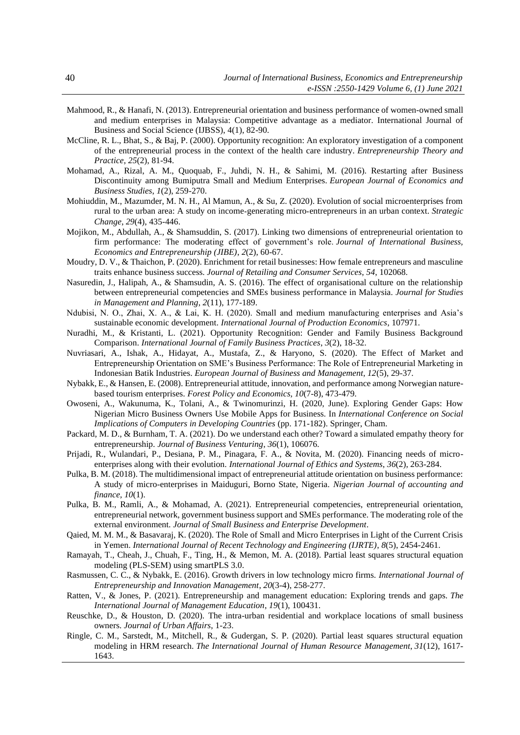- Mahmood, R., & Hanafi, N. (2013). Entrepreneurial orientation and business performance of women-owned small and medium enterprises in Malaysia: Competitive advantage as a mediator. International Journal of Business and Social Science (IJBSS), 4(1), 82-90.
- McCline, R. L., Bhat, S., & Baj, P. (2000). Opportunity recognition: An exploratory investigation of a component of the entrepreneurial process in the context of the health care industry. *Entrepreneurship Theory and Practice*, *25*(2), 81-94.
- Mohamad, A., Rizal, A. M., Quoquab, F., Juhdi, N. H., & Sahimi, M. (2016). Restarting after Business Discontinuity among Bumiputra Small and Medium Enterprises. *European Journal of Economics and Business Studies*, *1*(2), 259-270.
- Mohiuddin, M., Mazumder, M. N. H., Al Mamun, A., & Su, Z. (2020). Evolution of social microenterprises from rural to the urban area: A study on income‐generating micro‐entrepreneurs in an urban context. *Strategic Change*, *29*(4), 435-446.
- Mojikon, M., Abdullah, A., & Shamsuddin, S. (2017). Linking two dimensions of entrepreneurial orientation to firm performance: The moderating effect of government's role. *Journal of International Business, Economics and Entrepreneurship (JIBE)*, *2*(2), 60-67.
- Moudry, D. V., & Thaichon, P. (2020). Enrichment for retail businesses: How female entrepreneurs and masculine traits enhance business success. *Journal of Retailing and Consumer Services*, *54*, 102068.
- Nasuredin, J., Halipah, A., & Shamsudin, A. S. (2016). The effect of organisational culture on the relationship between entrepreneurial competencies and SMEs business performance in Malaysia. *Journal for Studies in Management and Planning*, *2*(11), 177-189.
- Ndubisi, N. O., Zhai, X. A., & Lai, K. H. (2020). Small and medium manufacturing enterprises and Asia's sustainable economic development. *International Journal of Production Economics*, 107971.
- Nuradhi, M., & Kristanti, L. (2021). Opportunity Recognition: Gender and Family Business Background Comparison. *International Journal of Family Business Practices*, *3*(2), 18-32.
- Nuvriasari, A., Ishak, A., Hidayat, A., Mustafa, Z., & Haryono, S. (2020). The Effect of Market and Entrepreneurship Orientation on SME's Business Performance: The Role of Entrepreneurial Marketing in Indonesian Batik Industries. *European Journal of Business and Management, 12*(5), 29-37.
- Nybakk, E., & Hansen, E. (2008). Entrepreneurial attitude, innovation, and performance among Norwegian naturebased tourism enterprises. *Forest Policy and Economics, 10*(7-8), 473-479.
- Owoseni, A., Wakunuma, K., Tolani, A., & Twinomurinzi, H. (2020, June). Exploring Gender Gaps: How Nigerian Micro Business Owners Use Mobile Apps for Business. In *International Conference on Social Implications of Computers in Developing Countries* (pp. 171-182). Springer, Cham.
- Packard, M. D., & Burnham, T. A. (2021). Do we understand each other? Toward a simulated empathy theory for entrepreneurship. *Journal of Business Venturing*, *36*(1), 106076.
- Prijadi, R., Wulandari, P., Desiana, P. M., Pinagara, F. A., & Novita, M. (2020). Financing needs of microenterprises along with their evolution. *International Journal of Ethics and Systems*, *36*(2), 263-284.
- Pulka, B. M. (2018). The multidimensional impact of entrepreneurial attitude orientation on business performance: A study of micro-enterprises in Maiduguri, Borno State, Nigeria. *Nigerian Journal of accounting and finance, 10*(1).
- Pulka, B. M., Ramli, A., & Mohamad, A. (2021). Entrepreneurial competencies, entrepreneurial orientation, entrepreneurial network, government business support and SMEs performance. The moderating role of the external environment. *Journal of Small Business and Enterprise Development*.
- Qaied, M. M. M., & Basavaraj, K. (2020). The Role of Small and Micro Enterprises in Light of the Current Crisis in Yemen. *International Journal of Recent Technology and Engineering (IJRTE)*, *8*(5), 2454-2461.
- Ramayah, T., Cheah, J., Chuah, F., Ting, H., & Memon, M. A. (2018). Partial least squares structural equation modeling (PLS-SEM) using smartPLS 3.0.
- Rasmussen, C. C., & Nybakk, E. (2016). Growth drivers in low technology micro firms. *International Journal of Entrepreneurship and Innovation Management*, *20*(3-4), 258-277.
- Ratten, V., & Jones, P. (2021). Entrepreneurship and management education: Exploring trends and gaps. *The International Journal of Management Education*, *19*(1), 100431.
- Reuschke, D., & Houston, D. (2020). The intra-urban residential and workplace locations of small business owners. *Journal of Urban Affairs*, 1-23.
- Ringle, C. M., Sarstedt, M., Mitchell, R., & Gudergan, S. P. (2020). Partial least squares structural equation modeling in HRM research. *The International Journal of Human Resource Management*, *31*(12), 1617- 1643.